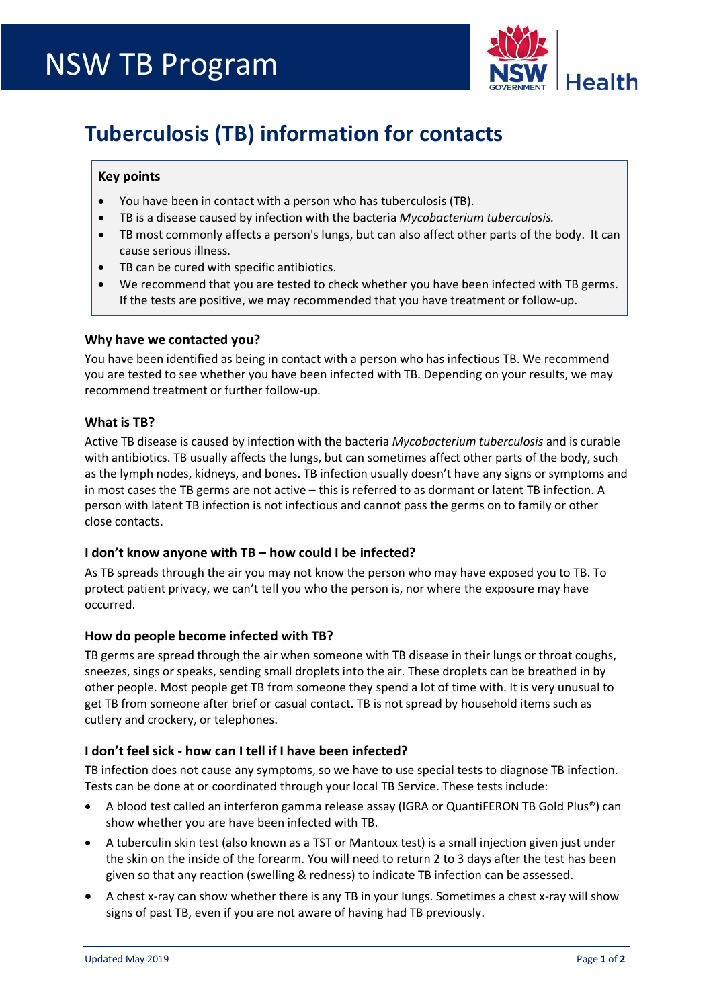

# **Tuberculosis (TB) information for contacts**

## **Key points**

- You have been in contact with a person who has tuberculosis (TB).
- TB is a disease caused by infection with the bacteria *Mycobacterium tuberculosis.*
- TB most commonly affects a person's lungs, but can also affect other parts of the body. It can cause serious illness.
- TB can be cured with specific antibiotics.
- We recommend that you are tested to check whether you have been infected with TB germs. If the tests are positive, we may recommended that you have treatment or follow-up.

## **Why have we contacted you?**

You have been identified as being in contact with a person who has infectious TB. We recommend you are tested to see whether you have been infected with TB. Depending on your results, we may recommend treatment or further follow-up.

## **What is TB?**

Active TB disease is caused by infection with the bacteria *Mycobacterium tuberculosis* and is curable with antibiotics. TB usually affects the lungs, but can sometimes affect other parts of the body, such as the lymph nodes, kidneys, and bones. TB infection usually doesn't have any signs or symptoms and in most cases the TB germs are not active – this is referred to as dormant or latent TB infection. A person with latent TB infection is not infectious and cannot pass the germs on to family or other close contacts.

# **I don't know anyone with TB – how could I be infected?**

As TB spreads through the air you may not know the person who may have exposed you to TB. To protect patient privacy, we can't tell you who the person is, nor where the exposure may have occurred.

#### **How do people become infected with TB?**

TB germs are spread through the air when someone with TB disease in their lungs or throat coughs, sneezes, sings or speaks, sending small droplets into the air. These droplets can be breathed in by other people. Most people get TB from someone they spend a lot of time with. It is very unusual to get TB from someone after brief or casual contact. TB is not spread by household items such as cutlery and crockery, or telephones.

# **I don't feel sick - how can I tell if I have been infected?**

TB infection does not cause any symptoms, so we have to use special tests to diagnose TB infection. Tests can be done at or coordinated through your local TB Service. These tests include:

- A blood test called an interferon gamma release assay (IGRA or QuantiFERON TB Gold Plus®) can show whether you are have been infected with TB.
- A tuberculin skin test (also known as a TST or Mantoux test) is a small injection given just under the skin on the inside of the forearm. You will need to return 2 to 3 days after the test has been given so that any reaction (swelling & redness) to indicate TB infection can be assessed.
- A chest x-ray can show whether there is any TB in your lungs. Sometimes a chest x-ray will show signs of past TB, even if you are not aware of having had TB previously.